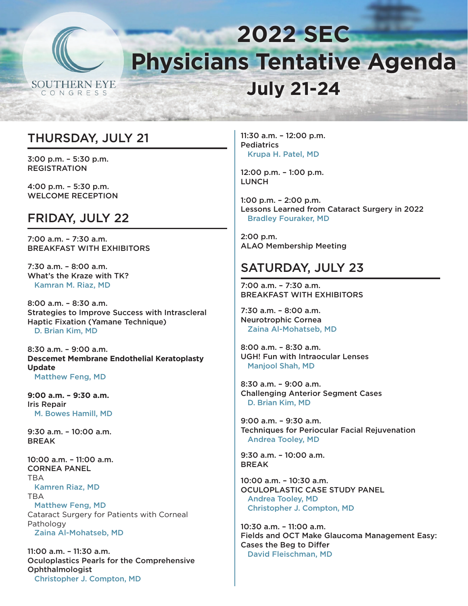

# **2022 SEC Physicians Tentative Agenda July 21-24**

### THURSDAY, JULY 21

3:00 p.m. – 5:30 p.m. REGISTRATION

4:00 p.m. – 5:30 p.m. WELCOME RECEPTION

### FRIDAY, JULY 22

7:00 a.m. – 7:30 a.m. BREAKFAST WITH EXHIBITORS

7:30 a.m. – 8:00 a.m. What's the Kraze with TK? Kamran M. Riaz, MD

8:00 a.m. – 8:30 a.m. Strategies to Improve Success with Intrascleral Haptic Fixation (Yamane Technique) D. Brian Kim, MD

8:30 a.m. – 9:00 a.m. **Descemet Membrane Endothelial Keratoplasty Update** Matthew Feng, MD

**9:00 a.m. – 9:30 a.m.** Iris Repair M. Bowes Hamill, MD

9:30 a.m. – 10:00 a.m. **BRFAK** 

10:00 a.m. – 11:00 a.m. CORNEA PANEL **TRA** Kamren Riaz, MD TBA Matthew Feng, MD Cataract Surgery for Patients with Corneal Pathology Zaina Al-Mohatseb, MD

11:00 a.m. – 11:30 a.m. Oculoplastics Pearls for the Comprehensive **Ophthalmologist** Christopher J. Compton, MD

11:30 a.m. – 12:00 p.m. **Pediatrics** Krupa H. Patel, MD

12:00 p.m. – 1:00 p.m. **LUNCH** 

1:00 p.m. – 2:00 p.m. Lessons Learned from Cataract Surgery in 2022 Bradley Fouraker, MD

2:00 p.m. ALAO Membership Meeting

### SATURDAY, JULY 23

7:00 a.m. – 7:30 a.m. BREAKFAST WITH EXHIBITORS

7:30 a.m. – 8:00 a.m. Neurotrophic Cornea Zaina Al-Mohatseb, MD

8:00 a.m. – 8:30 a.m. UGH! Fun with Intraocular Lenses Manjool Shah, MD

8:30 a.m. – 9:00 a.m. Challenging Anterior Segment Cases D. Brian Kim, MD

9:00 a.m. – 9:30 a.m. Techniques for Periocular Facial Rejuvenation Andrea Tooley, MD

9:30 a.m. – 10:00 a.m. BREAK

10:00 a.m. – 10:30 a.m. OCULOPLASTIC CASE STUDY PANEL Andrea Tooley, MD Christopher J. Compton, MD

10:30 a.m. – 11:00 a.m. Fields and OCT Make Glaucoma Management Easy: Cases the Beg to Differ David Fleischman, MD